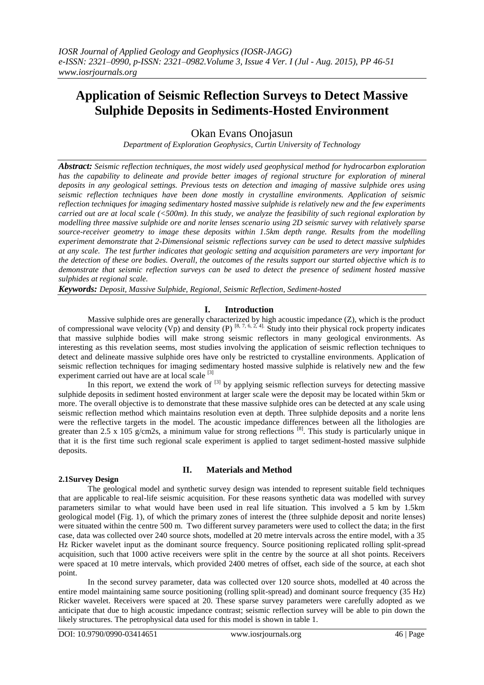# **Application of Seismic Reflection Surveys to Detect Massive Sulphide Deposits in Sediments-Hosted Environment**

Okan Evans Onojasun

*Department of Exploration Geophysics, Curtin University of Technology*

*Abstract: Seismic reflection techniques, the most widely used geophysical method for hydrocarbon exploration has the capability to delineate and provide better images of regional structure for exploration of mineral deposits in any geological settings. Previous tests on detection and imaging of massive sulphide ores using seismic reflection techniques have been done mostly in crystalline environments. Application of seismic reflection techniques for imaging sedimentary hosted massive sulphide is relatively new and the few experiments carried out are at local scale (<500m). In this study, we analyze the feasibility of such regional exploration by modelling three massive sulphide ore and norite lenses scenario using 2D seismic survey with relatively sparse source-receiver geometry to image these deposits within 1.5km depth range. Results from the modelling experiment demonstrate that 2-Dimensional seismic reflections survey can be used to detect massive sulphides at any scale. The test further indicates that geologic setting and acquisition parameters are very important for the detection of these ore bodies. Overall, the outcomes of the results support our started objective which is to demonstrate that seismic reflection surveys can be used to detect the presence of sediment hosted massive sulphides at regional scale.*

*Keywords: Deposit, Massive Sulphide, Regional, Seismic Reflection, Sediment-hosted*

## **I. Introduction**

Massive sulphide ores are generally characterized by high acoustic impedance (Z), which is the product of compressional wave velocity (Vp) and density (P)  $^{[8, 7, 6, 2, 4]}$ . Study into their physical rock property indicates that massive sulphide bodies will make strong seismic reflectors in many geological environments. As interesting as this revelation seems, most studies involving the application of seismic reflection techniques to detect and delineate massive sulphide ores have only be restricted to crystalline environments. Application of seismic reflection techniques for imaging sedimentary hosted massive sulphide is relatively new and the few experiment carried out have are at local scale [3]

In this report, we extend the work of  $^{[3]}$  by applying seismic reflection surveys for detecting massive sulphide deposits in sediment hosted environment at larger scale were the deposit may be located within 5km or more. The overall objective is to demonstrate that these massive sulphide ores can be detected at any scale using seismic reflection method which maintains resolution even at depth. Three sulphide deposits and a norite lens were the reflective targets in the model. The acoustic impedance differences between all the lithologies are greater than 2.5 x 105 g/cm2s, a minimum value for strong reflections <sup>[8]</sup>. This study is particularly unique in that it is the first time such regional scale experiment is applied to target sediment-hosted massive sulphide deposits.

#### **2.1Survey Design**

## **II. Materials and Method**

The geological model and synthetic survey design was intended to represent suitable field techniques that are applicable to real-life seismic acquisition. For these reasons synthetic data was modelled with survey parameters similar to what would have been used in real life situation. This involved a 5 km by 1.5km geological model (Fig. 1), of which the primary zones of interest the (three sulphide deposit and norite lenses) were situated within the centre 500 m. Two different survey parameters were used to collect the data; in the first case, data was collected over 240 source shots, modelled at 20 metre intervals across the entire model, with a 35 Hz Ricker wavelet input as the dominant source frequency. Source positioning replicated rolling split-spread acquisition, such that 1000 active receivers were split in the centre by the source at all shot points. Receivers were spaced at 10 metre intervals, which provided 2400 metres of offset, each side of the source, at each shot point.

In the second survey parameter, data was collected over 120 source shots, modelled at 40 across the entire model maintaining same source positioning (rolling split-spread) and dominant source frequency (35 Hz) Ricker wavelet. Receivers were spaced at 20. These sparse survey parameters were carefully adopted as we anticipate that due to high acoustic impedance contrast; seismic reflection survey will be able to pin down the likely structures. The petrophysical data used for this model is shown in table 1.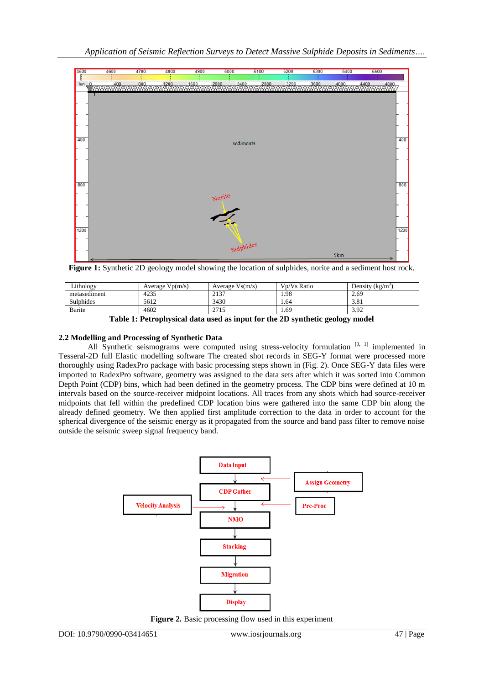

**Figure 1:** Synthetic 2D geology model showing the location of sulphides, norite and a sediment host rock.

| Lithology    | Average $Vp(m/s)$ | Average $Vs(m/s)$ | V <sub>D</sub> /V <sub>s</sub> Ratio | Density $(kg/m^3)$ |
|--------------|-------------------|-------------------|--------------------------------------|--------------------|
| metasediment | 4235              | 2137              | 1.98                                 | 2.69               |
| Sulphides    | 5612              | 3430              | 1.64                                 | 3.81               |
| Barite       | 4602              | 2715              | 1.69                                 | 3.92               |

**Table 1: Petrophysical data used as input for the 2D synthetic geology model**

## **2.2 Modelling and Processing of Synthetic Data**

All Synthetic seismograms were computed using stress-velocity formulation  $[9, 1]$  implemented in Tesseral-2D full Elastic modelling software The created shot records in SEG-Y format were processed more thoroughly using RadexPro package with basic processing steps shown in (Fig. 2). Once SEG-Y data files were imported to RadexPro software, geometry was assigned to the data sets after which it was sorted into Common Depth Point (CDP) bins, which had been defined in the geometry process. The CDP bins were defined at 10 m intervals based on the source-receiver midpoint locations. All traces from any shots which had source-receiver midpoints that fell within the predefined CDP location bins were gathered into the same CDP bin along the already defined geometry. We then applied first amplitude correction to the data in order to account for the spherical divergence of the seismic energy as it propagated from the source and band pass filter to remove noise outside the seismic sweep signal frequency band.



**Figure 2.** Basic processing flow used in this experiment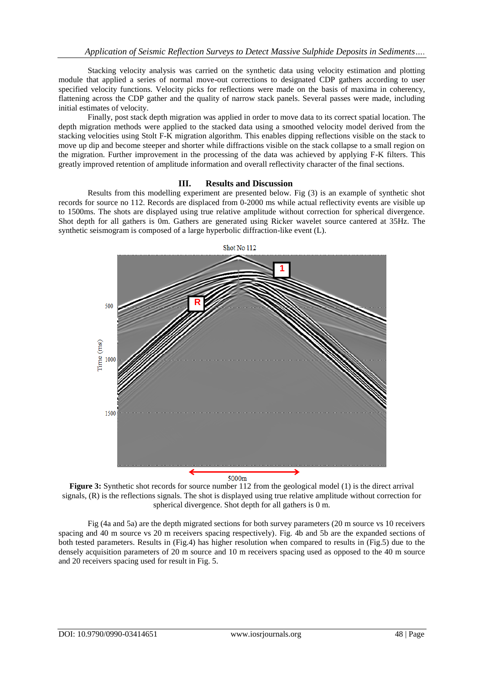Stacking velocity analysis was carried on the synthetic data using velocity estimation and plotting module that applied a series of normal move-out corrections to designated CDP gathers according to user specified velocity functions. Velocity picks for reflections were made on the basis of maxima in coherency, flattening across the CDP gather and the quality of narrow stack panels. Several passes were made, including initial estimates of velocity.

Finally, post stack depth migration was applied in order to move data to its correct spatial location. The depth migration methods were applied to the stacked data using a smoothed velocity model derived from the stacking velocities using Stolt F-K migration algorithm. This enables dipping reflections visible on the stack to move up dip and become steeper and shorter while diffractions visible on the stack collapse to a small region on the migration. Further improvement in the processing of the data was achieved by applying F-K filters. This greatly improved retention of amplitude information and overall reflectivity character of the final sections.

#### **III. Results and Discussion**

Results from this modelling experiment are presented below. Fig (3) is an example of synthetic shot records for source no 112. Records are displaced from 0-2000 ms while actual reflectivity events are visible up to 1500ms. The shots are displayed using true relative amplitude without correction for spherical divergence. Shot depth for all gathers is 0m. Gathers are generated using Ricker wavelet source cantered at 35Hz. The synthetic seismogram is composed of a large hyperbolic diffraction-like event (L).



**Figure 3:** Synthetic shot records for source number 112 from the geological model (1) is the direct arrival signals, (R) is the reflections signals. The shot is displayed using true relative amplitude without correction for spherical divergence. Shot depth for all gathers is 0 m.

Fig (4a and 5a) are the depth migrated sections for both survey parameters (20 m source vs 10 receivers spacing and 40 m source vs 20 m receivers spacing respectively). Fig. 4b and 5b are the expanded sections of both tested parameters. Results in (Fig.4) has higher resolution when compared to results in (Fig.5) due to the densely acquisition parameters of 20 m source and 10 m receivers spacing used as opposed to the 40 m source and 20 receivers spacing used for result in Fig. 5.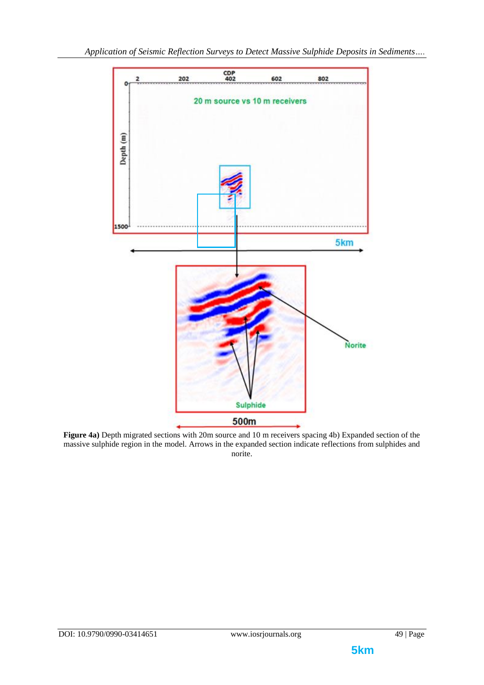

**Figure 4a)** Depth migrated sections with 20m source and 10 m receivers spacing 4b) Expanded section of the massive sulphide region in the model. Arrows in the expanded section indicate reflections from sulphides and norite.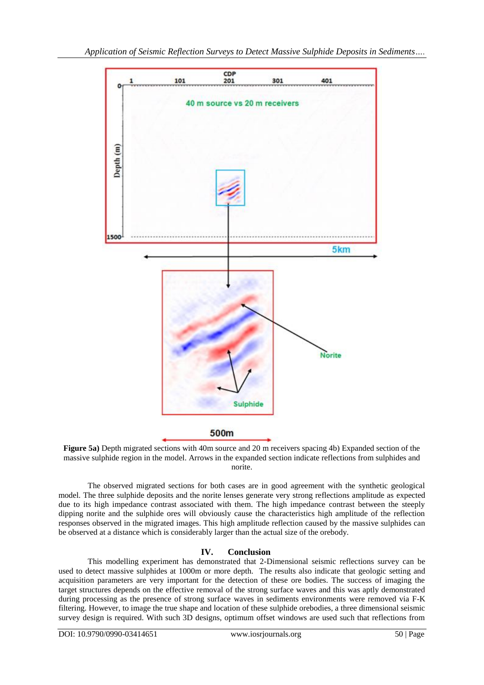

**Figure 5a)** Depth migrated sections with 40m source and 20 m receivers spacing 4b) Expanded section of the massive sulphide region in the model. Arrows in the expanded section indicate reflections from sulphides and norite.

The observed migrated sections for both cases are in good agreement with the synthetic geological model. The three sulphide deposits and the norite lenses generate very strong reflections amplitude as expected due to its high impedance contrast associated with them. The high impedance contrast between the steeply dipping norite and the sulphide ores will obviously cause the characteristics high amplitude of the reflection responses observed in the migrated images. This high amplitude reflection caused by the massive sulphides can be observed at a distance which is considerably larger than the actual size of the orebody.

## **IV. Conclusion**

This modelling experiment has demonstrated that 2-Dimensional seismic reflections survey can be used to detect massive sulphides at 1000m or more depth. The results also indicate that geologic setting and acquisition parameters are very important for the detection of these ore bodies. The success of imaging the target structures depends on the effective removal of the strong surface waves and this was aptly demonstrated during processing as the presence of strong surface waves in sediments environments were removed via F-K filtering. However, to image the true shape and location of these sulphide orebodies, a three dimensional seismic survey design is required. With such 3D designs, optimum offset windows are used such that reflections from